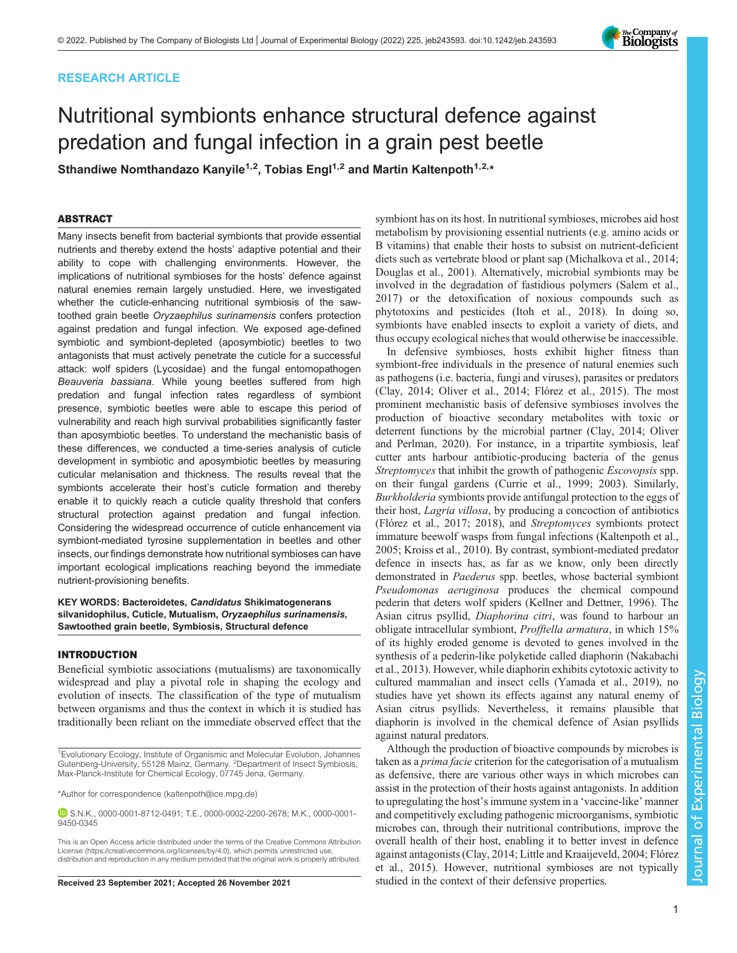# RESEARCH ARTICLE

# Nutritional symbionts enhance structural defence against predation and fungal infection in a grain pest beetle

Sthandiwe Nomthandazo Kanyile<sup>1,2</sup>, Tobias Engl<sup>1,2</sup> and Martin Kaltenpoth<sup>1,2,\*</sup>

# ABSTRACT

Many insects benefit from bacterial symbionts that provide essential nutrients and thereby extend the hosts' adaptive potential and their ability to cope with challenging environments. However, the implications of nutritional symbioses for the hosts' defence against natural enemies remain largely unstudied. Here, we investigated whether the cuticle-enhancing nutritional symbiosis of the sawtoothed grain beetle Oryzaephilus surinamensis confers protection against predation and fungal infection. We exposed age-defined symbiotic and symbiont-depleted (aposymbiotic) beetles to two antagonists that must actively penetrate the cuticle for a successful attack: wolf spiders (Lycosidae) and the fungal entomopathogen Beauveria bassiana. While young beetles suffered from high predation and fungal infection rates regardless of symbiont presence, symbiotic beetles were able to escape this period of vulnerability and reach high survival probabilities significantly faster than aposymbiotic beetles. To understand the mechanistic basis of these differences, we conducted a time-series analysis of cuticle development in symbiotic and aposymbiotic beetles by measuring cuticular melanisation and thickness. The results reveal that the symbionts accelerate their host's cuticle formation and thereby enable it to quickly reach a cuticle quality threshold that confers structural protection against predation and fungal infection. Considering the widespread occurrence of cuticle enhancement via symbiont-mediated tyrosine supplementation in beetles and other insects, our findings demonstrate how nutritional symbioses can have important ecological implications reaching beyond the immediate nutrient-provisioning benefits.

## KEY WORDS: Bacteroidetes, Candidatus Shikimatogenerans silvanidophilus, Cuticle, Mutualism, Oryzaephilus surinamensis, Sawtoothed grain beetle, Symbiosis, Structural defence

# INTRODUCTION

Beneficial symbiotic associations (mutualisms) are taxonomically widespread and play a pivotal role in shaping the ecology and evolution of insects. The classification of the type of mutualism between organisms and thus the context in which it is studied has traditionally been reliant on the immediate observed effect that the

1Evolutionary Ecology, Institute of Organismic and Molecular Evolution, Johannes Gutenberg-University, 55128 Mainz, Germany. <sup>2</sup>Department of Insect Symbiosis, Max-Planck-Institute for Chemical Ecology, 07745 Jena, Germany.

\*Author for correspondence [\(kaltenpoth@ice.mpg.de\)](mailto:kaltenpoth@ice.mpg.de)

S.N.K., [0000-0001-8712-0491](http://orcid.org/0000-0001-8712-0491); T.E., [0000-0002-2200-2678](http://orcid.org/0000-0002-2200-2678); M.K., [0000-0001-](http://orcid.org/0000-0001-9450-0345) [9450-0345](http://orcid.org/0000-0001-9450-0345)

This is an Open Access article distributed under the terms of the Creative Commons Attribution License (https://creativecommons.org/licenses/by/4.0), which permits unrestricted use, distribution and reproduction in any medium provided that the original work is properly attributed.

symbiont has on its host. In nutritional symbioses, microbes aid host metabolism by provisioning essential nutrients (e.g. amino acids or B vitamins) that enable their hosts to subsist on nutrient-deficient diets such as vertebrate blood or plant sap ([Michalkova et al., 2014](#page-8-0); [Douglas et al., 2001\)](#page-7-0). Alternatively, microbial symbionts may be involved in the degradation of fastidious polymers [\(Salem et al.,](#page-8-0) [2017\)](#page-8-0) or the detoxification of noxious compounds such as phytotoxins and pesticides ([Itoh et al., 2018\)](#page-8-0). In doing so, symbionts have enabled insects to exploit a variety of diets, and thus occupy ecological niches that would otherwise be inaccessible.

In defensive symbioses, hosts exhibit higher fitness than symbiont-free individuals in the presence of natural enemies such as pathogens (i.e. bacteria, fungi and viruses), parasites or predators [\(Clay, 2014;](#page-7-0) [Oliver et al., 2014;](#page-8-0) [Flórez et al., 2015\)](#page-7-0). The most prominent mechanistic basis of defensive symbioses involves the production of bioactive secondary metabolites with toxic or deterrent functions by the microbial partner ([Clay, 2014;](#page-7-0) [Oliver](#page-8-0) [and Perlman, 2020](#page-8-0)). For instance, in a tripartite symbiosis, leaf cutter ants harbour antibiotic-producing bacteria of the genus Streptomyces that inhibit the growth of pathogenic Escovopsis spp. on their fungal gardens [\(Currie et al., 1999](#page-7-0); [2003\)](#page-7-0). Similarly, Burkholderia symbionts provide antifungal protection to the eggs of their host, Lagria villosa, by producing a concoction of antibiotics [\(Flórez et al., 2017](#page-7-0); [2018\)](#page-7-0), and Streptomyces symbionts protect immature beewolf wasps from fungal infections ([Kaltenpoth et al.,](#page-8-0) [2005; Kroiss et al., 2010\)](#page-8-0). By contrast, symbiont-mediated predator defence in insects has, as far as we know, only been directly demonstrated in Paederus spp. beetles, whose bacterial symbiont Pseudomonas aeruginosa produces the chemical compound pederin that deters wolf spiders ([Kellner and Dettner, 1996\)](#page-8-0). The Asian citrus psyllid, Diaphorina citri, was found to harbour an obligate intracellular symbiont, Profftella armatura, in which 15% of its highly eroded genome is devoted to genes involved in the synthesis of a pederin-like polyketide called diaphorin ([Nakabachi](#page-8-0) [et al., 2013\)](#page-8-0). However, while diaphorin exhibits cytotoxic activity to cultured mammalian and insect cells ([Yamada et al., 2019\)](#page-8-0), no studies have yet shown its effects against any natural enemy of Asian citrus psyllids. Nevertheless, it remains plausible that diaphorin is involved in the chemical defence of Asian psyllids against natural predators.

Although the production of bioactive compounds by microbes is taken as a prima facie criterion for the categorisation of a mutualism as defensive, there are various other ways in which microbes can assist in the protection of their hosts against antagonists. In addition to upregulating the host's immune system in a 'vaccine-like' manner and competitively excluding pathogenic microorganisms, symbiotic microbes can, through their nutritional contributions, improve the overall health of their host, enabling it to better invest in defence against antagonists [\(Clay, 2014;](#page-7-0) [Little and Kraaijeveld, 2004;](#page-8-0) [Flórez](#page-7-0) [et al., 2015\)](#page-7-0). However, nutritional symbioses are not typically Received 23 September 2021; Accepted 26 November 2021 studied in the context of their defensive properties.

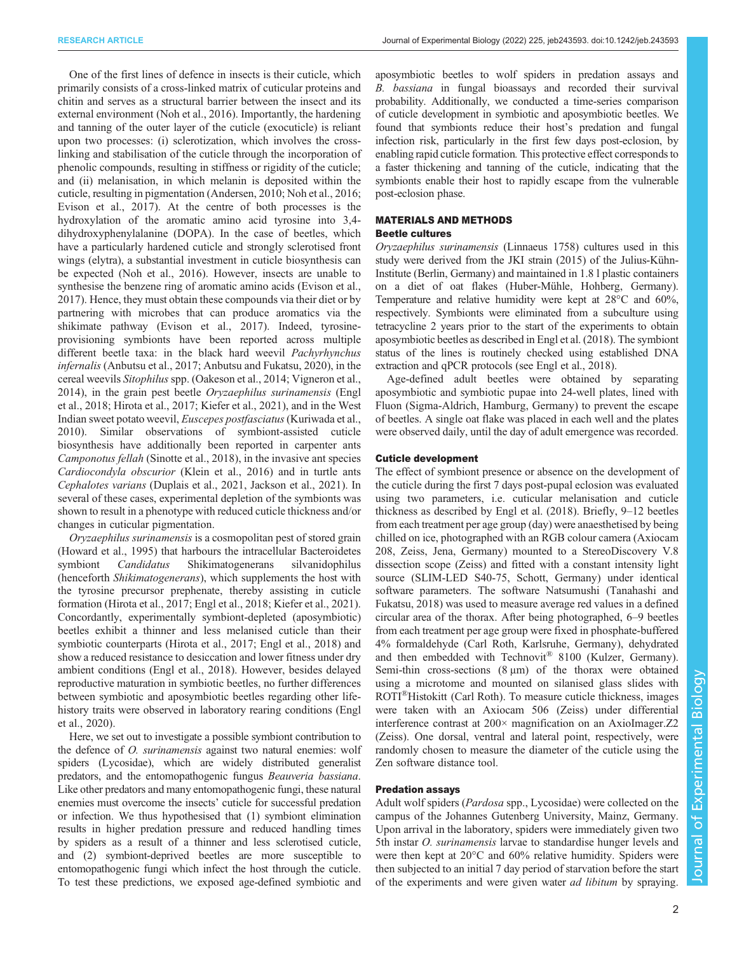One of the first lines of defence in insects is their cuticle, which primarily consists of a cross-linked matrix of cuticular proteins and chitin and serves as a structural barrier between the insect and its external environment [\(Noh et al., 2016\)](#page-8-0). Importantly, the hardening and tanning of the outer layer of the cuticle (exocuticle) is reliant upon two processes: (i) sclerotization, which involves the crosslinking and stabilisation of the cuticle through the incorporation of phenolic compounds, resulting in stiffness or rigidity of the cuticle; and (ii) melanisation, in which melanin is deposited within the cuticle, resulting in pigmentation ([Andersen, 2010](#page-7-0); [Noh et al., 2016](#page-8-0); [Evison et al., 2017](#page-7-0)). At the centre of both processes is the hydroxylation of the aromatic amino acid tyrosine into 3,4 dihydroxyphenylalanine (DOPA). In the case of beetles, which have a particularly hardened cuticle and strongly sclerotised front wings (elytra), a substantial investment in cuticle biosynthesis can be expected ([Noh et al., 2016\)](#page-8-0). However, insects are unable to synthesise the benzene ring of aromatic amino acids [\(Evison et al.,](#page-7-0) [2017](#page-7-0)). Hence, they must obtain these compounds via their diet or by partnering with microbes that can produce aromatics via the shikimate pathway [\(Evison et al., 2017\)](#page-7-0). Indeed, tyrosineprovisioning symbionts have been reported across multiple different beetle taxa: in the black hard weevil Pachyrhynchus infernalis [\(Anbutsu et al., 2017](#page-7-0); [Anbutsu and Fukatsu, 2020\)](#page-7-0), in the cereal weevils Sitophilus spp. [\(Oakeson et al., 2014](#page-8-0); [Vigneron et al.,](#page-8-0) [2014](#page-8-0)), in the grain pest beetle Oryzaephilus surinamensis [\(Engl](#page-7-0) [et al., 2018; Hirota et al., 2017](#page-7-0); [Kiefer et al., 2021](#page-8-0)), and in the West Indian sweet potato weevil, Euscepes postfasciatus[\(Kuriwada et al.,](#page-8-0) [2010](#page-8-0)). Similar observations of symbiont-assisted cuticle biosynthesis have additionally been reported in carpenter ants Camponotus fellah ([Sinotte et al., 2018](#page-8-0)), in the invasive ant species Cardiocondyla obscurior [\(Klein et al., 2016](#page-8-0)) and in turtle ants Cephalotes varians ([Duplais et al., 2021,](#page-7-0) [Jackson et al., 2021\)](#page-8-0). In several of these cases, experimental depletion of the symbionts was shown to result in a phenotype with reduced cuticle thickness and/or changes in cuticular pigmentation.

Oryzaephilus surinamensis is a cosmopolitan pest of stored grain [\(Howard et al., 1995\)](#page-7-0) that harbours the intracellular Bacteroidetes symbiont Candidatus Shikimatogenerans silvanidophilus (henceforth Shikimatogenerans), which supplements the host with the tyrosine precursor prephenate, thereby assisting in cuticle formation ([Hirota et al., 2017](#page-7-0); [Engl et al., 2018;](#page-7-0) [Kiefer et al., 2021\)](#page-8-0). Concordantly, experimentally symbiont-depleted (aposymbiotic) beetles exhibit a thinner and less melanised cuticle than their symbiotic counterparts ([Hirota et al., 2017; Engl et al., 2018](#page-7-0)) and show a reduced resistance to desiccation and lower fitness under dry ambient conditions [\(Engl et al., 2018\)](#page-7-0). However, besides delayed reproductive maturation in symbiotic beetles, no further differences between symbiotic and aposymbiotic beetles regarding other lifehistory traits were observed in laboratory rearing conditions [\(Engl](#page-7-0) [et al., 2020\)](#page-7-0).

Here, we set out to investigate a possible symbiont contribution to the defence of O. surinamensis against two natural enemies: wolf spiders (Lycosidae), which are widely distributed generalist predators, and the entomopathogenic fungus Beauveria bassiana. Like other predators and many entomopathogenic fungi, these natural enemies must overcome the insects' cuticle for successful predation or infection. We thus hypothesised that (1) symbiont elimination results in higher predation pressure and reduced handling times by spiders as a result of a thinner and less sclerotised cuticle, and (2) symbiont-deprived beetles are more susceptible to entomopathogenic fungi which infect the host through the cuticle. To test these predictions, we exposed age-defined symbiotic and

aposymbiotic beetles to wolf spiders in predation assays and B. bassiana in fungal bioassays and recorded their survival probability. Additionally, we conducted a time-series comparison of cuticle development in symbiotic and aposymbiotic beetles. We found that symbionts reduce their host's predation and fungal infection risk, particularly in the first few days post-eclosion, by enabling rapid cuticle formation. This protective effect corresponds to a faster thickening and tanning of the cuticle, indicating that the symbionts enable their host to rapidly escape from the vulnerable post-eclosion phase.

# MATERIALS AND METHODS

# Beetle cultures

Oryzaephilus surinamensis (Linnaeus 1758) cultures used in this study were derived from the JKI strain (2015) of the Julius-Kühn-Institute (Berlin, Germany) and maintained in 1.8 l plastic containers on a diet of oat flakes (Huber-Mühle, Hohberg, Germany). Temperature and relative humidity were kept at 28°C and 60%, respectively. Symbionts were eliminated from a subculture using tetracycline 2 years prior to the start of the experiments to obtain aposymbiotic beetles as described in [Engl et al. \(2018\)](#page-7-0). The symbiont status of the lines is routinely checked using established DNA extraction and qPCR protocols (see [Engl et al., 2018\)](#page-7-0).

Age-defined adult beetles were obtained by separating aposymbiotic and symbiotic pupae into 24-well plates, lined with Fluon (Sigma-Aldrich, Hamburg, Germany) to prevent the escape of beetles. A single oat flake was placed in each well and the plates were observed daily, until the day of adult emergence was recorded.

## Cuticle development

The effect of symbiont presence or absence on the development of the cuticle during the first 7 days post-pupal eclosion was evaluated using two parameters, i.e. cuticular melanisation and cuticle thickness as described by [Engl et al. \(2018\)](#page-7-0). Briefly, 9–12 beetles from each treatment per age group (day) were anaesthetised by being chilled on ice, photographed with an RGB colour camera (Axiocam 208, Zeiss, Jena, Germany) mounted to a StereoDiscovery V.8 dissection scope (Zeiss) and fitted with a constant intensity light source (SLIM-LED S40-75, Schott, Germany) under identical software parameters. The software Natsumushi ([Tanahashi and](#page-8-0) [Fukatsu, 2018](#page-8-0)) was used to measure average red values in a defined circular area of the thorax. After being photographed, 6–9 beetles from each treatment per age group were fixed in phosphate-buffered 4% formaldehyde (Carl Roth, Karlsruhe, Germany), dehydrated and then embedded with Technovit® 8100 (Kulzer, Germany). Semi-thin cross-sections (8 μm) of the thorax were obtained using a microtome and mounted on silanised glass slides with ROTI®Histokitt (Carl Roth). To measure cuticle thickness, images were taken with an Axiocam 506 (Zeiss) under differential interference contrast at 200× magnification on an AxioImager.Z2 (Zeiss). One dorsal, ventral and lateral point, respectively, were randomly chosen to measure the diameter of the cuticle using the Zen software distance tool.

#### Predation assays

Adult wolf spiders (*Pardosa* spp., Lycosidae) were collected on the campus of the Johannes Gutenberg University, Mainz, Germany. Upon arrival in the laboratory, spiders were immediately given two 5th instar O. surinamensis larvae to standardise hunger levels and were then kept at 20°C and 60% relative humidity. Spiders were then subjected to an initial 7 day period of starvation before the start of the experiments and were given water *ad libitum* by spraying.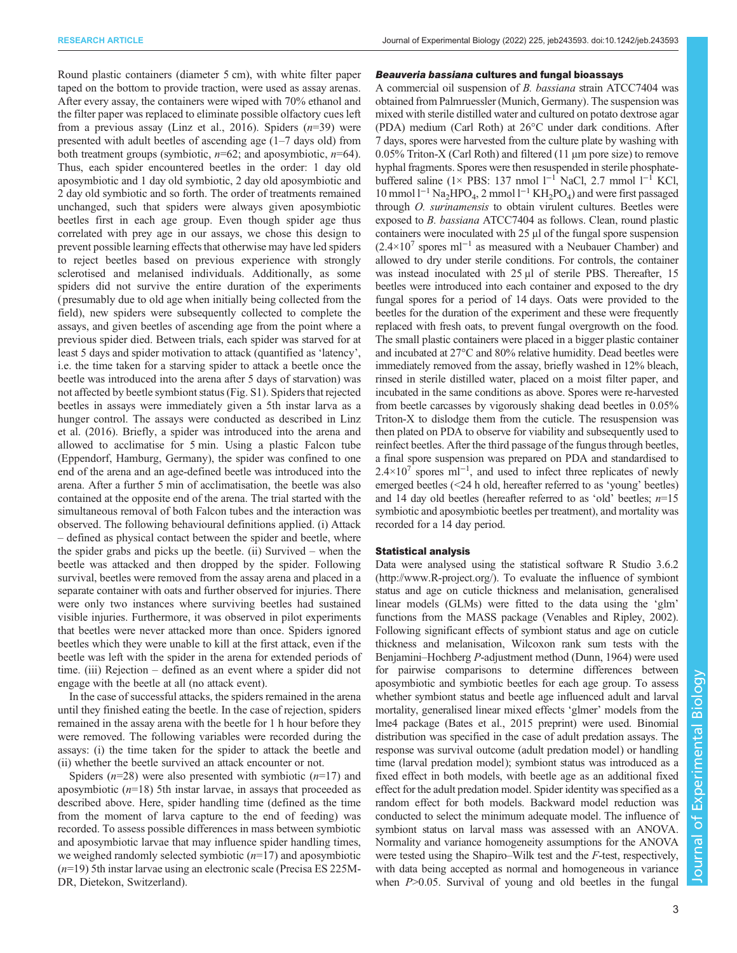RESEARCH ARTICLE **ARTICLE** ARTICLE **Journal of Experimental Biology (2022) 225**, jeb243593. doi:10.1242/jeb.243593

Round plastic containers (diameter 5 cm), with white filter paper taped on the bottom to provide traction, were used as assay arenas. After every assay, the containers were wiped with 70% ethanol and the filter paper was replaced to eliminate possible olfactory cues left from a previous assay ([Linz et al., 2016\)](#page-8-0). Spiders  $(n=39)$  were presented with adult beetles of ascending age (1–7 days old) from both treatment groups (symbiotic,  $n=62$ ; and aposymbiotic,  $n=64$ ). Thus, each spider encountered beetles in the order: 1 day old aposymbiotic and 1 day old symbiotic, 2 day old aposymbiotic and 2 day old symbiotic and so forth. The order of treatments remained unchanged, such that spiders were always given aposymbiotic beetles first in each age group. Even though spider age thus correlated with prey age in our assays, we chose this design to prevent possible learning effects that otherwise may have led spiders to reject beetles based on previous experience with strongly sclerotised and melanised individuals. Additionally, as some spiders did not survive the entire duration of the experiments ( presumably due to old age when initially being collected from the field), new spiders were subsequently collected to complete the assays, and given beetles of ascending age from the point where a previous spider died. Between trials, each spider was starved for at least 5 days and spider motivation to attack (quantified as 'latency', i.e. the time taken for a starving spider to attack a beetle once the beetle was introduced into the arena after 5 days of starvation) was not affected by beetle symbiont status [\(Fig. S1](https://journals.biologists.com/jeb/article-lookup/DOI/10.1242/jeb.243593)). Spiders that rejected beetles in assays were immediately given a 5th instar larva as a hunger control. The assays were conducted as described in [Linz](#page-8-0) [et al. \(2016\).](#page-8-0) Briefly, a spider was introduced into the arena and allowed to acclimatise for 5 min. Using a plastic Falcon tube (Eppendorf, Hamburg, Germany), the spider was confined to one end of the arena and an age-defined beetle was introduced into the arena. After a further 5 min of acclimatisation, the beetle was also contained at the opposite end of the arena. The trial started with the simultaneous removal of both Falcon tubes and the interaction was observed. The following behavioural definitions applied. (i) Attack – defined as physical contact between the spider and beetle, where the spider grabs and picks up the beetle. (ii) Survived – when the beetle was attacked and then dropped by the spider. Following survival, beetles were removed from the assay arena and placed in a separate container with oats and further observed for injuries. There were only two instances where surviving beetles had sustained visible injuries. Furthermore, it was observed in pilot experiments that beetles were never attacked more than once. Spiders ignored beetles which they were unable to kill at the first attack, even if the beetle was left with the spider in the arena for extended periods of time. (iii) Rejection – defined as an event where a spider did not engage with the beetle at all (no attack event).

In the case of successful attacks, the spiders remained in the arena until they finished eating the beetle. In the case of rejection, spiders remained in the assay arena with the beetle for 1 h hour before they were removed. The following variables were recorded during the assays: (i) the time taken for the spider to attack the beetle and (ii) whether the beetle survived an attack encounter or not.

Spiders ( $n=28$ ) were also presented with symbiotic ( $n=17$ ) and aposymbiotic  $(n=18)$  5th instar larvae, in assays that proceeded as described above. Here, spider handling time (defined as the time from the moment of larva capture to the end of feeding) was recorded. To assess possible differences in mass between symbiotic and aposymbiotic larvae that may influence spider handling times, we weighed randomly selected symbiotic  $(n=17)$  and aposymbiotic  $(n=19)$  5th instar larvae using an electronic scale (Precisa ES 225M-DR, Dietekon, Switzerland).

#### Beauveria bassiana cultures and fungal bioassays

A commercial oil suspension of B. bassiana strain ATCC7404 was obtained from Palmruessler (Munich, Germany). The suspension was mixed with sterile distilled water and cultured on potato dextrose agar (PDA) medium (Carl Roth) at 26°C under dark conditions. After 7 days, spores were harvested from the culture plate by washing with 0.05% Triton-X (Carl Roth) and filtered (11 μm pore size) to remove hyphal fragments. Spores were then resuspended in sterile phosphatebuffered saline (1× PBS: 137 nmol l−<sup>1</sup> NaCl, 2.7 mmol l−<sup>1</sup> KCl,  $10 \text{ mmol } 1^{-1}$  Na<sub>2</sub>HPO<sub>4</sub>, 2 mmol  $1^{-1}$  KH<sub>2</sub>PO<sub>4</sub>) and were first passaged through O. surinamensis to obtain virulent cultures. Beetles were exposed to B. bassiana ATCC7404 as follows. Clean, round plastic containers were inoculated with 25 μl of the fungal spore suspension  $(2.4\times10^7$  spores ml<sup>-1</sup> as measured with a Neubauer Chamber) and allowed to dry under sterile conditions. For controls, the container was instead inoculated with 25 μl of sterile PBS. Thereafter, 15 beetles were introduced into each container and exposed to the dry fungal spores for a period of 14 days. Oats were provided to the beetles for the duration of the experiment and these were frequently replaced with fresh oats, to prevent fungal overgrowth on the food. The small plastic containers were placed in a bigger plastic container and incubated at 27°C and 80% relative humidity. Dead beetles were immediately removed from the assay, briefly washed in 12% bleach, rinsed in sterile distilled water, placed on a moist filter paper, and incubated in the same conditions as above. Spores were re-harvested from beetle carcasses by vigorously shaking dead beetles in 0.05% Triton-X to dislodge them from the cuticle. The resuspension was then plated on PDA to observe for viability and subsequently used to reinfect beetles. After the third passage of the fungus through beetles, a final spore suspension was prepared on PDA and standardised to  $2.4 \times 10^{7}$  spores ml<sup>-1</sup>, and used to infect three replicates of newly emerged beetles (<24 h old, hereafter referred to as 'young' beetles) and 14 day old beetles (hereafter referred to as 'old' beetles;  $n=15$ symbiotic and aposymbiotic beetles per treatment), and mortality was recorded for a 14 day period.

#### Statistical analysis

Data were analysed using the statistical software R Studio 3.6.2 [\(http://www.R-project.org/\)](http://www.R-project.org/). To evaluate the influence of symbiont status and age on cuticle thickness and melanisation, generalised linear models (GLMs) were fitted to the data using the 'glm' functions from the MASS package ([Venables and Ripley, 2002\)](#page-8-0). Following significant effects of symbiont status and age on cuticle thickness and melanisation, Wilcoxon rank sum tests with the Benjamini–Hochberg P-adjustment method [\(Dunn, 1964\)](#page-7-0) were used for pairwise comparisons to determine differences between aposymbiotic and symbiotic beetles for each age group. To assess whether symbiont status and beetle age influenced adult and larval mortality, generalised linear mixed effects 'glmer' models from the lme4 package ([Bates et al., 2015](#page-7-0) preprint) were used. Binomial distribution was specified in the case of adult predation assays. The response was survival outcome (adult predation model) or handling time (larval predation model); symbiont status was introduced as a fixed effect in both models, with beetle age as an additional fixed effect for the adult predation model. Spider identity was specified as a random effect for both models. Backward model reduction was conducted to select the minimum adequate model. The influence of symbiont status on larval mass was assessed with an ANOVA. Normality and variance homogeneity assumptions for the ANOVA were tested using the Shapiro–Wilk test and the F-test, respectively, with data being accepted as normal and homogeneous in variance when  $P > 0.05$ . Survival of young and old beetles in the fungal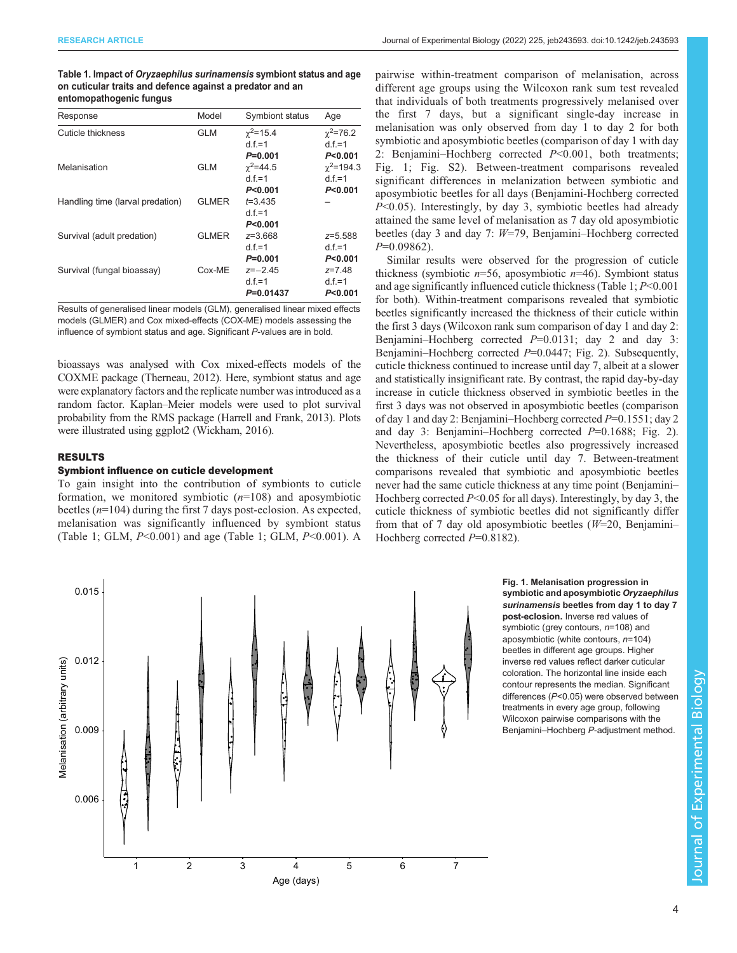<span id="page-3-0"></span>

| Table 1. Impact of Oryzaephilus surinamensis symbiont status and age |
|----------------------------------------------------------------------|
| on cuticular traits and defence against a predator and an            |
| entomopathogenic fungus                                              |

| Response                         | Model        | Symbiont status   | Age               |
|----------------------------------|--------------|-------------------|-------------------|
| Cuticle thickness                | <b>GLM</b>   | $\gamma^2$ =15.4  | $\gamma^2 = 76.2$ |
|                                  |              | $d.f.=1$          | $d.f.=1$          |
|                                  |              | $P = 0.001$       | P < 0.001         |
| Melanisation                     | <b>GLM</b>   | $\gamma^2 = 44.5$ | $\gamma^2$ =194.3 |
|                                  |              | d $f = 1$         | $d.f.=1$          |
|                                  |              | P<0.001           | P < 0.001         |
| Handling time (larval predation) | <b>GLMER</b> | $t = 3.435$       |                   |
|                                  |              | $d.f.=1$          |                   |
|                                  |              | P<0.001           |                   |
| Survival (adult predation)       | <b>GLMER</b> | z=3.668           | z=5.588           |
|                                  |              | $d.f = 1$         | $d.f = 1$         |
|                                  |              | $P = 0.001$       | P < 0.001         |
| Survival (fungal bioassay)       | Cox-ME       | $z=-2.45$         | $z = 7.48$        |
|                                  |              | $d.f.=1$          | $d.f.=1$          |
|                                  |              | P=0.01437         | P<0.001           |

Results of generalised linear models (GLM), generalised linear mixed effects models (GLMER) and Cox mixed-effects (COX-ME) models assessing the influence of symbiont status and age. Significant P-values are in bold.

bioassays was analysed with Cox mixed-effects models of the COXME package [\(Therneau, 2012](#page-8-0)). Here, symbiont status and age were explanatory factors and the replicate number was introduced as a random factor. Kaplan–Meier models were used to plot survival probability from the RMS package ([Harrell and Frank, 2013](#page-7-0)). Plots were illustrated using ggplot2 [\(Wickham, 2016\)](#page-8-0).

# RESULTS

#### Symbiont influence on cuticle development

To gain insight into the contribution of symbionts to cuticle formation, we monitored symbiotic  $(n=108)$  and aposymbiotic beetles (n=104) during the first 7 days post-eclosion. As expected, melanisation was significantly influenced by symbiont status (Table 1; GLM,  $P \le 0.001$ ) and age (Table 1; GLM,  $P \le 0.001$ ). A

pairwise within-treatment comparison of melanisation, across different age groups using the Wilcoxon rank sum test revealed that individuals of both treatments progressively melanised over the first 7 days, but a significant single-day increase in melanisation was only observed from day 1 to day 2 for both symbiotic and aposymbiotic beetles (comparison of day 1 with day 2: Benjamini–Hochberg corrected P<0.001, both treatments; Fig. 1; [Fig. S2\)](https://journals.biologists.com/jeb/article-lookup/DOI/10.1242/jeb.243593). Between-treatment comparisons revealed significant differences in melanization between symbiotic and aposymbiotic beetles for all days (Benjamini-Hochberg corrected  $P<0.05$ ). Interestingly, by day 3, symbiotic beetles had already attained the same level of melanisation as 7 day old aposymbiotic beetles (day 3 and day 7: W=79, Benjamini–Hochberg corrected  $P=0.09862$ ).

Similar results were observed for the progression of cuticle thickness (symbiotic  $n=56$ , aposymbiotic  $n=46$ ). Symbiont status and age significantly influenced cuticle thickness (Table 1; P<0.001 for both). Within-treatment comparisons revealed that symbiotic beetles significantly increased the thickness of their cuticle within the first 3 days (Wilcoxon rank sum comparison of day 1 and day 2: Benjamini–Hochberg corrected  $P=0.0131$ ; day 2 and day 3: Benjamini–Hochberg corrected  $P=0.0447$ ; [Fig. 2\)](#page-4-0). Subsequently, cuticle thickness continued to increase until day 7, albeit at a slower and statistically insignificant rate. By contrast, the rapid day-by-day increase in cuticle thickness observed in symbiotic beetles in the first 3 days was not observed in aposymbiotic beetles (comparison of day 1 and day 2: Benjamini–Hochberg corrected  $P=0.1551$ ; day 2 and day 3: Benjamini–Hochberg corrected  $P=0.1688$ ; [Fig. 2\)](#page-4-0). Nevertheless, aposymbiotic beetles also progressively increased the thickness of their cuticle until day 7. Between-treatment comparisons revealed that symbiotic and aposymbiotic beetles never had the same cuticle thickness at any time point (Benjamini– Hochberg corrected  $P<0.05$  for all days). Interestingly, by day 3, the cuticle thickness of symbiotic beetles did not significantly differ from that of 7 day old aposymbiotic beetles  $(W=20,$  Benjamini– Hochberg corrected  $P=0.8182$ ).

> Fig. 1. Melanisation progression in symbiotic and aposymbiotic Oryzaephilus surinamensis beetles from day 1 to day 7 post-eclosion. Inverse red values of symbiotic (grey contours,  $n=108$ ) and aposymbiotic (white contours,  $n=104$ ) beetles in different age groups. Higher inverse red values reflect darker cuticular coloration. The horizontal line inside each contour represents the median. Significant differences (P<0.05) were observed between treatments in every age group, following Wilcoxon pairwise comparisons with the Benjamini–Hochberg P-adjustment method.



4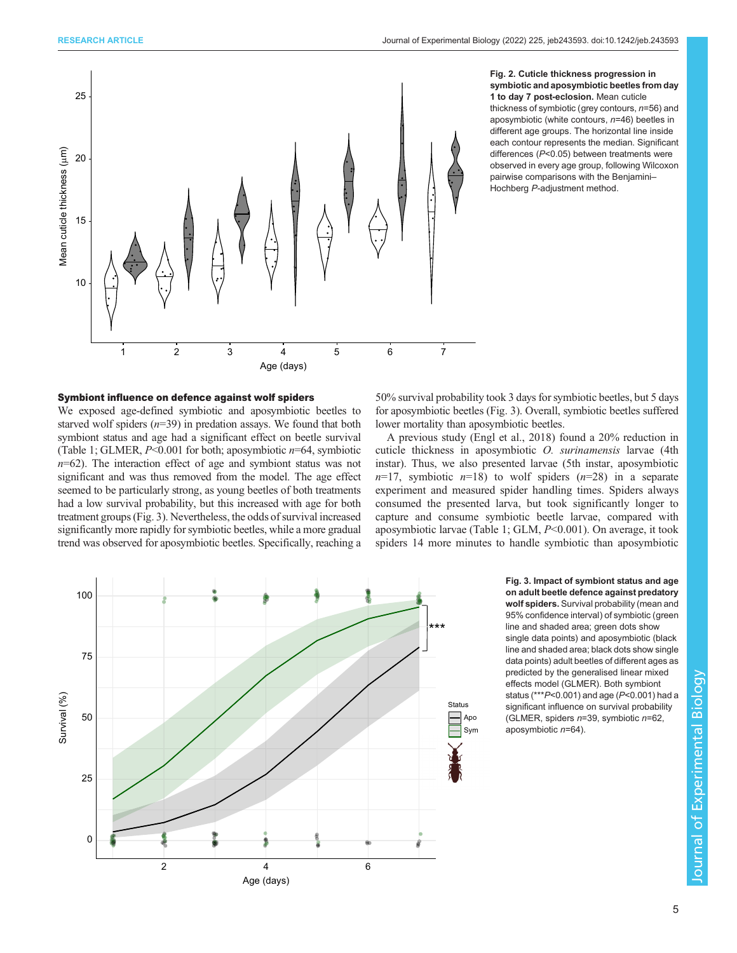<span id="page-4-0"></span>

#### Fig. 2. Cuticle thickness progression in symbiotic and aposymbiotic beetles from day 1 to day 7 post-eclosion. Mean cuticle thickness of symbiotic (grey contours,  $n=56$ ) and

aposymbiotic (white contours, n=46) beetles in different age groups. The horizontal line inside each contour represents the median. Significant differences (P<0.05) between treatments were observed in every age group, following Wilcoxon pairwise comparisons with the Benjamini– Hochberg P-adjustment method.

# Symbiont influence on defence against wolf spiders

We exposed age-defined symbiotic and aposymbiotic beetles to starved wolf spiders  $(n=39)$  in predation assays. We found that both symbiont status and age had a significant effect on beetle survival [\(Table 1;](#page-3-0) GLMER,  $P \le 0.001$  for both; aposymbiotic  $n=64$ , symbiotic  $n=62$ ). The interaction effect of age and symbiont status was not significant and was thus removed from the model. The age effect seemed to be particularly strong, as young beetles of both treatments had a low survival probability, but this increased with age for both treatment groups (Fig. 3). Nevertheless, the odds of survival increased significantly more rapidly for symbiotic beetles, while a more gradual trend was observed for aposymbiotic beetles. Specifically, reaching a

50% survival probability took 3 days for symbiotic beetles, but 5 days for aposymbiotic beetles (Fig. 3). Overall, symbiotic beetles suffered lower mortality than aposymbiotic beetles.

A previous study ([Engl et al., 2018](#page-7-0)) found a 20% reduction in cuticle thickness in aposymbiotic O. surinamensis larvae (4th instar). Thus, we also presented larvae (5th instar, aposymbiotic  $n=17$ , symbiotic  $n=18$ ) to wolf spiders  $(n=28)$  in a separate experiment and measured spider handling times. Spiders always consumed the presented larva, but took significantly longer to capture and consume symbiotic beetle larvae, compared with aposymbiotic larvae [\(Table 1;](#page-3-0) GLM, P<0.001). On average, it took spiders 14 more minutes to handle symbiotic than aposymbiotic



Fig. 3. Impact of symbiont status and age on adult beetle defence against predatory wolf spiders. Survival probability (mean and 95% confidence interval) of symbiotic (green line and shaded area; green dots show single data points) and aposymbiotic (black line and shaded area; black dots show single data points) adult beetles of different ages as predicted by the generalised linear mixed effects model (GLMER). Both symbiont status (\*\*\*P<0.001) and age (P<0.001) had a significant influence on survival probability (GLMER, spiders  $n=39$ , symbiotic  $n=62$ , aposymbiotic n=64).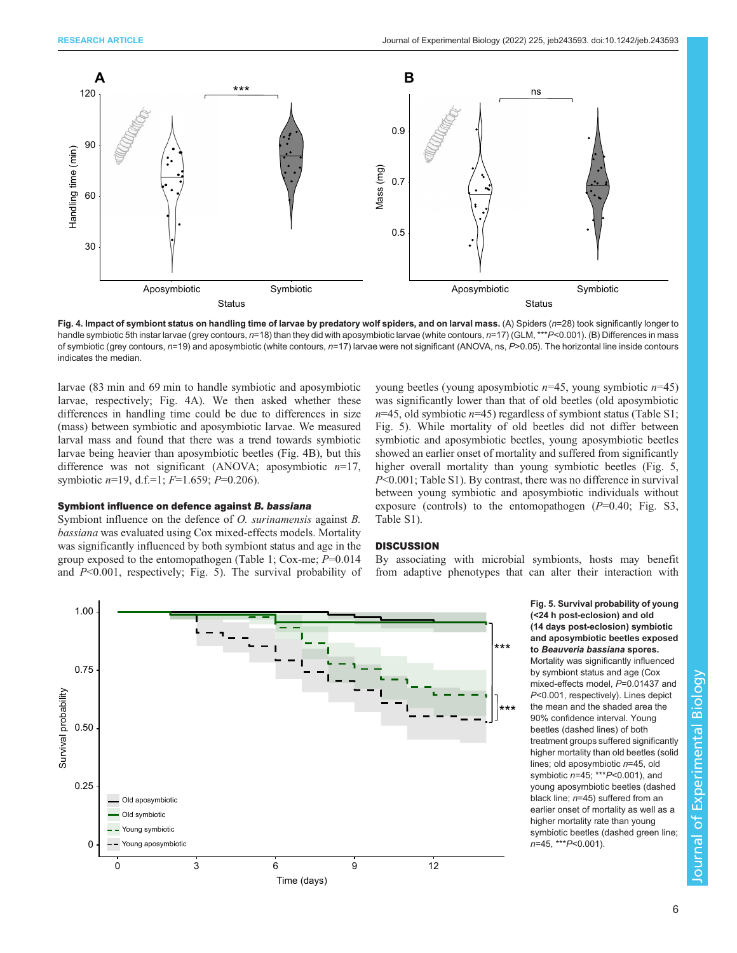<span id="page-5-0"></span>

Fig. 4. Impact of symbiont status on handling time of larvae by predatory wolf spiders, and on larval mass. (A) Spiders (n=28) took significantly longer to handle symbiotic 5th instar larvae (grey contours, n=18) than they did with aposymbiotic larvae (white contours, n=17) (GLM, \*\*\*P<0.001). (B) Differences in mass of symbiotic (grey contours,  $n=19$ ) and aposymbiotic (white contours,  $n=17$ ) larvae were not significant (ANOVA, ns,  $P>0.05$ ). The horizontal line inside contours indicates the median.

larvae (83 min and 69 min to handle symbiotic and aposymbiotic larvae, respectively; Fig. 4A). We then asked whether these differences in handling time could be due to differences in size (mass) between symbiotic and aposymbiotic larvae. We measured larval mass and found that there was a trend towards symbiotic larvae being heavier than aposymbiotic beetles (Fig. 4B), but this difference was not significant (ANOVA; aposymbiotic  $n=17$ , symbiotic  $n=19$ , d.f.=1;  $F=1.659$ ;  $P=0.206$ ).

#### Symbiont influence on defence against B. bassiana

Symbiont influence on the defence of *O. surinamensis* against *B*. bassiana was evaluated using Cox mixed-effects models. Mortality was significantly influenced by both symbiont status and age in the group exposed to the entomopathogen [\(Table 1;](#page-3-0) Cox-me;  $P=0.014$ and  $P<0.001$ , respectively; Fig. 5). The survival probability of young beetles (young aposymbiotic  $n=45$ , young symbiotic  $n=45$ ) was significantly lower than that of old beetles (old aposymbiotic  $n=45$ , old symbiotic  $n=45$ ) regardless of symbiont status ([Table S1](https://journals.biologists.com/jeb/article-lookup/DOI/10.1242/jeb.243593); Fig. 5). While mortality of old beetles did not differ between symbiotic and aposymbiotic beetles, young aposymbiotic beetles showed an earlier onset of mortality and suffered from significantly higher overall mortality than young symbiotic beetles (Fig. 5,  $P<0.001$ ; [Table S1](https://journals.biologists.com/jeb/article-lookup/DOI/10.1242/jeb.243593)). By contrast, there was no difference in survival between young symbiotic and aposymbiotic individuals without exposure (controls) to the entomopathogen  $(P=0.40;$  [Fig. S3,](https://journals.biologists.com/jeb/article-lookup/DOI/10.1242/jeb.243593) [Table S1\)](https://journals.biologists.com/jeb/article-lookup/DOI/10.1242/jeb.243593).

#### **DISCUSSION**

By associating with microbial symbionts, hosts may benefit



Fig. 5. Survival probability of young (<24 h post-eclosion) and old (14 days post-eclosion) symbiotic and aposymbiotic beetles exposed to Beauveria bassiana spores. Mortality was significantly influenced by symbiont status and age (Cox mixed-effects model, P=0.01437 and P<0.001, respectively). Lines depict the mean and the shaded area the 90% confidence interval. Young beetles (dashed lines) of both treatment groups suffered significantly higher mortality than old beetles (solid lines; old aposymbiotic n=45, old symbiotic  $n=45$ ; \*\*\* $P<0.001$ ), and young aposymbiotic beetles (dashed black line; n=45) suffered from an earlier onset of mortality as well as a higher mortality rate than young symbiotic beetles (dashed green line; n=45, \*\*\*P<0.001).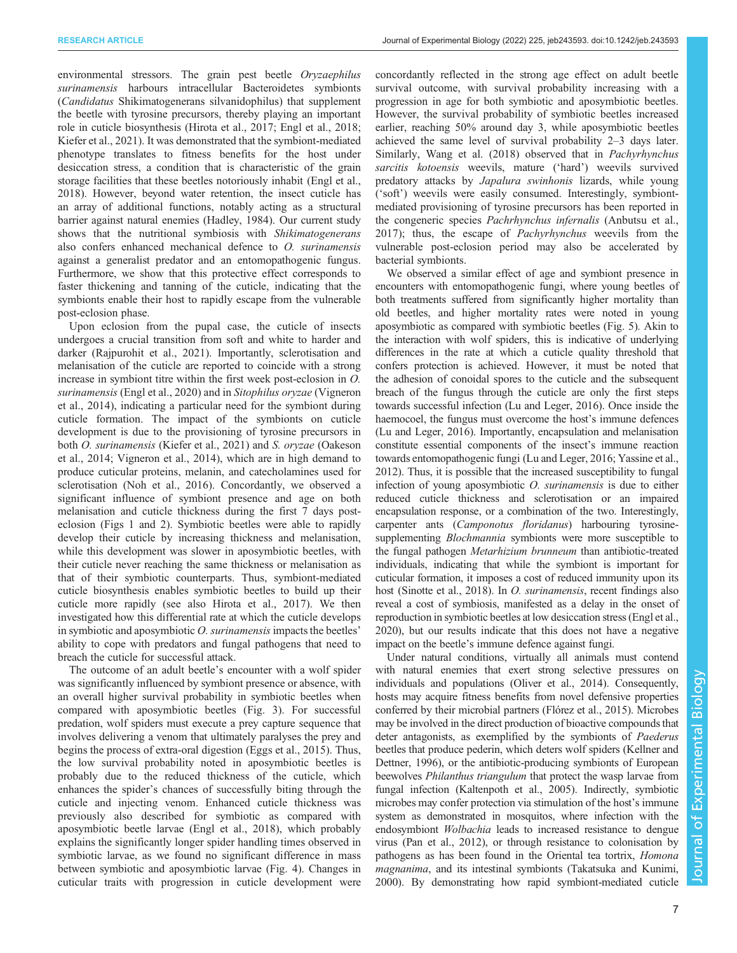environmental stressors. The grain pest beetle Oryzaephilus surinamensis harbours intracellular Bacteroidetes symbionts (Candidatus Shikimatogenerans silvanidophilus) that supplement the beetle with tyrosine precursors, thereby playing an important role in cuticle biosynthesis ([Hirota et al., 2017](#page-7-0); [Engl et al., 2018](#page-7-0); [Kiefer et al., 2021\)](#page-8-0). It was demonstrated that the symbiont-mediated phenotype translates to fitness benefits for the host under desiccation stress, a condition that is characteristic of the grain storage facilities that these beetles notoriously inhabit [\(Engl et al.,](#page-7-0) [2018](#page-7-0)). However, beyond water retention, the insect cuticle has an array of additional functions, notably acting as a structural barrier against natural enemies ([Hadley, 1984](#page-7-0)). Our current study shows that the nutritional symbiosis with Shikimatogenerans also confers enhanced mechanical defence to O. surinamensis against a generalist predator and an entomopathogenic fungus. Furthermore, we show that this protective effect corresponds to faster thickening and tanning of the cuticle, indicating that the symbionts enable their host to rapidly escape from the vulnerable post-eclosion phase.

Upon eclosion from the pupal case, the cuticle of insects undergoes a crucial transition from soft and white to harder and darker [\(Rajpurohit et al., 2021\)](#page-8-0). Importantly, sclerotisation and melanisation of the cuticle are reported to coincide with a strong increase in symbiont titre within the first week post-eclosion in O. surinamensis ([Engl et al., 2020](#page-7-0)) and in Sitophilus oryzae ([Vigneron](#page-8-0) [et al., 2014\)](#page-8-0), indicating a particular need for the symbiont during cuticle formation. The impact of the symbionts on cuticle development is due to the provisioning of tyrosine precursors in both O. surinamensis [\(Kiefer et al., 2021](#page-8-0)) and S. oryzae [\(Oakeson](#page-8-0) [et al., 2014; Vigneron et al., 2014\)](#page-8-0), which are in high demand to produce cuticular proteins, melanin, and catecholamines used for sclerotisation [\(Noh et al., 2016](#page-8-0)). Concordantly, we observed a significant influence of symbiont presence and age on both melanisation and cuticle thickness during the first 7 days posteclosion ([Figs 1](#page-3-0) and [2](#page-4-0)). Symbiotic beetles were able to rapidly develop their cuticle by increasing thickness and melanisation, while this development was slower in aposymbiotic beetles, with their cuticle never reaching the same thickness or melanisation as that of their symbiotic counterparts. Thus, symbiont-mediated cuticle biosynthesis enables symbiotic beetles to build up their cuticle more rapidly (see also [Hirota et al., 2017](#page-7-0)). We then investigated how this differential rate at which the cuticle develops in symbiotic and aposymbiotic O. surinamensis impacts the beetles' ability to cope with predators and fungal pathogens that need to breach the cuticle for successful attack.

The outcome of an adult beetle's encounter with a wolf spider was significantly influenced by symbiont presence or absence, with an overall higher survival probability in symbiotic beetles when compared with aposymbiotic beetles [\(Fig. 3](#page-4-0)). For successful predation, wolf spiders must execute a prey capture sequence that involves delivering a venom that ultimately paralyses the prey and begins the process of extra-oral digestion [\(Eggs et al., 2015\)](#page-7-0). Thus, the low survival probability noted in aposymbiotic beetles is probably due to the reduced thickness of the cuticle, which enhances the spider's chances of successfully biting through the cuticle and injecting venom. Enhanced cuticle thickness was previously also described for symbiotic as compared with aposymbiotic beetle larvae [\(Engl et al., 2018](#page-7-0)), which probably explains the significantly longer spider handling times observed in symbiotic larvae, as we found no significant difference in mass between symbiotic and aposymbiotic larvae [\(Fig. 4\)](#page-5-0). Changes in cuticular traits with progression in cuticle development were

concordantly reflected in the strong age effect on adult beetle survival outcome, with survival probability increasing with a progression in age for both symbiotic and aposymbiotic beetles. However, the survival probability of symbiotic beetles increased earlier, reaching 50% around day 3, while aposymbiotic beetles achieved the same level of survival probability 2–3 days later. Similarly, [Wang et al. \(2018\)](#page-8-0) observed that in Pachyrhynchus sarcitis kotoensis weevils, mature ('hard') weevils survived predatory attacks by Japalura swinhonis lizards, while young ('soft') weevils were easily consumed. Interestingly, symbiontmediated provisioning of tyrosine precursors has been reported in the congeneric species Pachrhynchus infernalis [\(Anbutsu et al.,](#page-7-0) [2017\)](#page-7-0); thus, the escape of Pachyrhynchus weevils from the vulnerable post-eclosion period may also be accelerated by bacterial symbionts.

We observed a similar effect of age and symbiont presence in encounters with entomopathogenic fungi, where young beetles of both treatments suffered from significantly higher mortality than old beetles, and higher mortality rates were noted in young aposymbiotic as compared with symbiotic beetles ([Fig. 5\)](#page-5-0). Akin to the interaction with wolf spiders, this is indicative of underlying differences in the rate at which a cuticle quality threshold that confers protection is achieved. However, it must be noted that the adhesion of conoidal spores to the cuticle and the subsequent breach of the fungus through the cuticle are only the first steps towards successful infection ([Lu and Leger, 2016](#page-8-0)). Once inside the haemocoel, the fungus must overcome the host's immune defences [\(Lu and Leger, 2016](#page-8-0)). Importantly, encapsulation and melanisation constitute essential components of the insect's immune reaction towards entomopathogenic fungi [\(Lu and Leger, 2016](#page-8-0); [Yassine et al.,](#page-8-0) [2012\)](#page-8-0). Thus, it is possible that the increased susceptibility to fungal infection of young aposymbiotic O. surinamensis is due to either reduced cuticle thickness and sclerotisation or an impaired encapsulation response, or a combination of the two. Interestingly, carpenter ants (Camponotus floridanus) harbouring tyrosinesupplementing Blochmannia symbionts were more susceptible to the fungal pathogen Metarhizium brunneum than antibiotic-treated individuals, indicating that while the symbiont is important for cuticular formation, it imposes a cost of reduced immunity upon its host ([Sinotte et al., 2018](#page-8-0)). In O. surinamensis, recent findings also reveal a cost of symbiosis, manifested as a delay in the onset of reproduction in symbiotic beetles at low desiccation stress [\(Engl et al.,](#page-7-0) [2020\)](#page-7-0), but our results indicate that this does not have a negative impact on the beetle's immune defence against fungi.

Under natural conditions, virtually all animals must contend with natural enemies that exert strong selective pressures on individuals and populations ([Oliver et al., 2014\)](#page-8-0). Consequently, hosts may acquire fitness benefits from novel defensive properties conferred by their microbial partners ([Flórez et al., 2015](#page-7-0)). Microbes may be involved in the direct production of bioactive compounds that deter antagonists, as exemplified by the symbionts of Paederus beetles that produce pederin, which deters wolf spiders ([Kellner and](#page-8-0) [Dettner, 1996\)](#page-8-0), or the antibiotic-producing symbionts of European beewolves Philanthus triangulum that protect the wasp larvae from fungal infection ([Kaltenpoth et al., 2005\)](#page-8-0). Indirectly, symbiotic microbes may confer protection via stimulation of the host's immune system as demonstrated in mosquitos, where infection with the endosymbiont Wolbachia leads to increased resistance to dengue virus ([Pan et al., 2012](#page-8-0)), or through resistance to colonisation by pathogens as has been found in the Oriental tea tortrix, Homona magnanima, and its intestinal symbionts [\(Takatsuka and Kunimi,](#page-8-0) [2000\)](#page-8-0). By demonstrating how rapid symbiont-mediated cuticle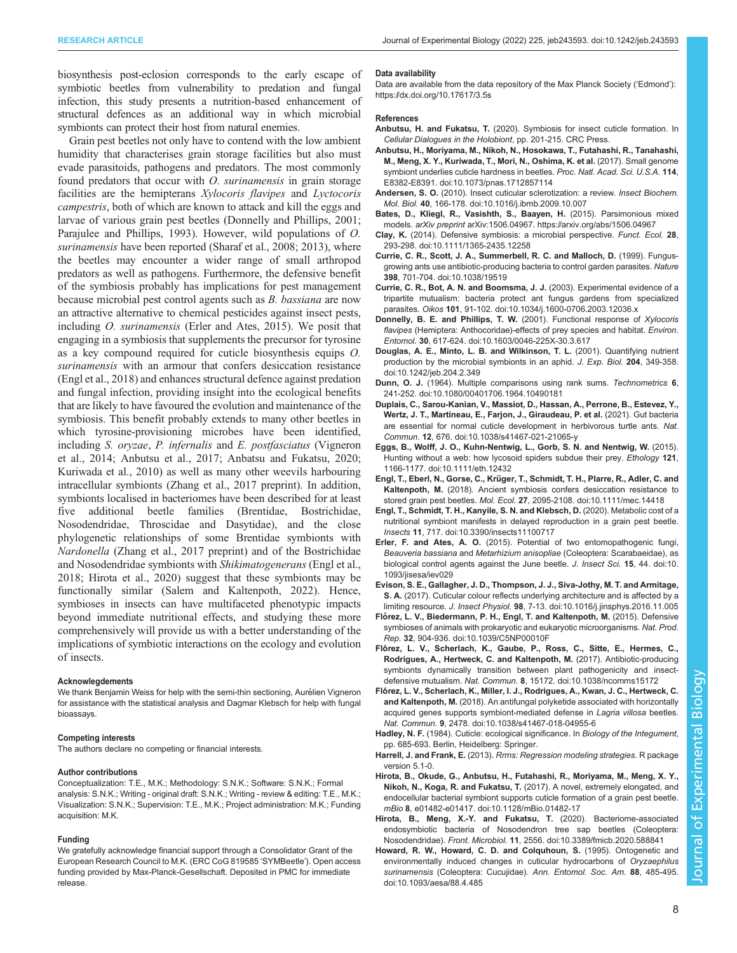<span id="page-7-0"></span>biosynthesis post-eclosion corresponds to the early escape of symbiotic beetles from vulnerability to predation and fungal infection, this study presents a nutrition-based enhancement of structural defences as an additional way in which microbial symbionts can protect their host from natural enemies.

Grain pest beetles not only have to contend with the low ambient humidity that characterises grain storage facilities but also must evade parasitoids, pathogens and predators. The most commonly found predators that occur with O. surinamensis in grain storage facilities are the hemipterans Xylocoris flavipes and Lyctocoris campestris, both of which are known to attack and kill the eggs and larvae of various grain pest beetles (Donnelly and Phillips, 2001; [Parajulee and Phillips, 1993](#page-8-0)). However, wild populations of O. surinamensis have been reported ([Sharaf et al., 2008](#page-8-0); [2013](#page-8-0)), where the beetles may encounter a wider range of small arthropod predators as well as pathogens. Furthermore, the defensive benefit of the symbiosis probably has implications for pest management because microbial pest control agents such as B. bassiana are now an attractive alternative to chemical pesticides against insect pests, including O. surinamensis (Erler and Ates, 2015). We posit that engaging in a symbiosis that supplements the precursor for tyrosine as a key compound required for cuticle biosynthesis equips O. surinamensis with an armour that confers desiccation resistance (Engl et al., 2018) and enhances structural defence against predation and fungal infection, providing insight into the ecological benefits that are likely to have favoured the evolution and maintenance of the symbiosis. This benefit probably extends to many other beetles in which tyrosine-provisioning microbes have been identified, including S. oryzae, P. infernalis and E. postfasciatus ([Vigneron](#page-8-0) [et al., 2014;](#page-8-0) Anbutsu et al., 2017; Anbatsu and Fukatsu, 2020; [Kuriwada et al., 2010](#page-8-0)) as well as many other weevils harbouring intracellular symbionts ([Zhang et al., 2017](#page-8-0) preprint). In addition, symbionts localised in bacteriomes have been described for at least five additional beetle families (Brentidae, Bostrichidae, Nosodendridae, Throscidae and Dasytidae), and the close phylogenetic relationships of some Brentidae symbionts with Nardonella ([Zhang et al., 2017](#page-8-0) preprint) and of the Bostrichidae and Nosodendridae symbionts with Shikimatogenerans (Engl et al., 2018; Hirota et al., 2020) suggest that these symbionts may be functionally similar [\(Salem and Kaltenpoth, 2022\)](#page-8-0). Hence, symbioses in insects can have multifaceted phenotypic impacts beyond immediate nutritional effects, and studying these more comprehensively will provide us with a better understanding of the implications of symbiotic interactions on the ecology and evolution of insects.

#### Acknowlegdements

We thank Benjamin Weiss for help with the semi-thin sectioning, Aurélien Vigneron for assistance with the statistical analysis and Dagmar Klebsch for help with fungal bioassays.

#### Competing interests

The authors declare no competing or financial interests.

#### Author contributions

Conceptualization: T.E., M.K.; Methodology: S.N.K.; Software: S.N.K.; Formal analysis: S.N.K.; Writing - original draft: S.N.K.; Writing - review & editing: T.E., M.K.; Visualization: S.N.K.; Supervision: T.E., M.K.; Project administration: M.K.; Funding acquisition: M.K.

#### Funding

We gratefully acknowledge financial support through a Consolidator Grant of the European Research Council to M.K. (ERC CoG 819585 'SYMBeetle'). Open access funding provided by Max-Planck-Gesellschaft. Deposited in PMC for immediate release.

#### Data availability

Data are available from the data repository of the Max Planck Society ('Edmond'): <https://dx.doi.org/10.17617/3.5s>

#### References

- Anbutsu, H. and Fukatsu, T. (2020). Symbiosis for insect cuticle formation. In Cellular Dialogues in the Holobiont, pp. 201-215. CRC Press.
- [Anbutsu, H., Moriyama, M., Nikoh, N., Hosokawa, T., Futahashi, R., Tanahashi,](https://doi.org/10.1073/pnas.1712857114) [M., Meng, X. Y., Kuriwada, T., Mori, N., Oshima, K. et al.](https://doi.org/10.1073/pnas.1712857114) (2017). Small genome [symbiont underlies cuticle hardness in beetles.](https://doi.org/10.1073/pnas.1712857114) Proc. Natl. Acad. Sci. U.S.A. 114, [E8382-E8391. doi:10.1073/pnas.1712857114](https://doi.org/10.1073/pnas.1712857114)
- Andersen, S. O. [\(2010\). Insect cuticular sclerotization: a review.](https://doi.org/10.1016/j.ibmb.2009.10.007) Insect Biochem. Mol. Biol. 40[, 166-178. doi:10.1016/j.ibmb.2009.10.007](https://doi.org/10.1016/j.ibmb.2009.10.007)
- Bates, D., Kliegl, R., Vasishth, S., Baayen, H. (2015). Parsimonious mixed models. arXiv preprint arXiv:1506.04967.<https://arxiv.org/abs/1506.04967>
- Clay, K. [\(2014\). Defensive symbiosis: a microbial perspective.](https://doi.org/10.1111/1365-2435.12258) Funct. Ecol. 28, [293-298. doi:10.1111/1365-2435.12258](https://doi.org/10.1111/1365-2435.12258)
- [Currie, C. R., Scott, J. A., Summerbell, R. C. and Malloch, D.](https://doi.org/10.1038/19519) (1999). Fungus[growing ants use antibiotic-producing bacteria to control garden parasites.](https://doi.org/10.1038/19519) Nature 398[, 701-704. doi:10.1038/19519](https://doi.org/10.1038/19519)
- [Currie, C. R., Bot, A. N. and Boomsma, J. J.](https://doi.org/10.1034/j.1600-0706.2003.12036.x) (2003). Experimental evidence of a [tripartite mutualism: bacteria protect ant fungus gardens from specialized](https://doi.org/10.1034/j.1600-0706.2003.12036.x) parasites. Oikos 101[, 91-102. doi:10.1034/j.1600-0706.2003.12036.x](https://doi.org/10.1034/j.1600-0706.2003.12036.x)
- [Donnelly, B. E. and Phillips, T. W.](https://doi.org/10.1603/0046-225X-30.3.617) (2001). Functional response of Xylocoris flavipes [\(Hemiptera: Anthocoridae\)-effects of prey species and habitat.](https://doi.org/10.1603/0046-225X-30.3.617) Environ. Entomol. 30[, 617-624. doi:10.1603/0046-225X-30.3.617](https://doi.org/10.1603/0046-225X-30.3.617)
- [Douglas, A. E., Minto, L. B. and Wilkinson, T. L.](https://doi.org/10.1242/jeb.204.2.349) (2001). Quantifying nutrient [production by the microbial symbionts in an aphid.](https://doi.org/10.1242/jeb.204.2.349) J. Exp. Biol. 204, 349-358. [doi:10.1242/jeb.204.2.349](https://doi.org/10.1242/jeb.204.2.349)
- Dunn, O. J. [\(1964\). Multiple comparisons using rank sums.](https://doi.org/10.1080/00401706.1964.10490181) Technometrics 6, [241-252. doi:10.1080/00401706.1964.10490181](https://doi.org/10.1080/00401706.1964.10490181)
- [Duplais, C., Sarou-Kanian, V., Massiot, D., Hassan, A., Perrone, B., Estevez, Y.,](https://doi.org/10.1038/s41467-021-21065-y) [Wertz, J. T., Martineau, E., Farjon, J., Giraudeau, P. et al.](https://doi.org/10.1038/s41467-021-21065-y) (2021). Gut bacteria [are essential for normal cuticle development in herbivorous turtle ants.](https://doi.org/10.1038/s41467-021-21065-y) Nat. Commun. 12[, 676. doi:10.1038/s41467-021-21065-y](https://doi.org/10.1038/s41467-021-21065-y)
- [Eggs, B., Wolff, J. O., Kuhn-Nentwig, L., Gorb, S. N. and Nentwig, W.](https://doi.org/10.1111/eth.12432) (2015). [Hunting without a web: how lycosoid spiders subdue their prey.](https://doi.org/10.1111/eth.12432) Ethology 121, [1166-1177. doi:10.1111/eth.12432](https://doi.org/10.1111/eth.12432)
- Engl, T., Eberl, N., Gorse, C., Krü[ger, T., Schmidt, T. H., Plarre, R., Adler, C. and](https://doi.org/10.1111/mec.14418) Kaltenpoth, M. [\(2018\). Ancient symbiosis confers desiccation resistance to](https://doi.org/10.1111/mec.14418) stored grain pest beetles. Mol. Ecol. 27[, 2095-2108. doi:10.1111/mec.14418](https://doi.org/10.1111/mec.14418)
- [Engl, T., Schmidt, T. H., Kanyile, S. N. and Klebsch, D.](https://doi.org/10.3390/insects11100717) (2020). Metabolic cost of a [nutritional symbiont manifests in delayed reproduction in a grain pest beetle.](https://doi.org/10.3390/insects11100717) Insects 11[, 717. doi:10.3390/insects11100717](https://doi.org/10.3390/insects11100717)
- Erler, F. and Ates, A. O. [\(2015\). Potential of two entomopathogenic fungi,](https://doi.org/10.1093/jisesa/iev029) Beauveria bassiana and Metarhizium anisopliae [\(Coleoptera: Scarabaeidae\), as](https://doi.org/10.1093/jisesa/iev029) [biological control agents against the June beetle.](https://doi.org/10.1093/jisesa/iev029) J. Insect Sci. 15, 44. doi:10. [1093/jisesa/iev029](https://doi.org/10.1093/jisesa/iev029)
- [Evison, S. E., Gallagher, J. D., Thompson, J. J., Siva-Jothy, M. T. and Armitage,](https://doi.org/10.1016/j.jinsphys.2016.11.005) S. A. [\(2017\). Cuticular colour reflects underlying architecture and is affected by a](https://doi.org/10.1016/j.jinsphys.2016.11.005) limiting resource. J. Insect Physiol. 98[, 7-13. doi:10.1016/j.jinsphys.2016.11.005](https://doi.org/10.1016/j.jinsphys.2016.11.005)
- Fló[rez, L. V., Biedermann, P. H., Engl, T. and Kaltenpoth, M.](https://doi.org/10.1039/C5NP00010F) (2015). Defensive [symbioses of animals with prokaryotic and eukaryotic microorganisms.](https://doi.org/10.1039/C5NP00010F) Nat. Prod. Rep. 32[, 904-936. doi:10.1039/C5NP00010F](https://doi.org/10.1039/C5NP00010F)
- Fló[rez, L. V., Scherlach, K., Gaube, P., Ross, C., Sitte, E., Hermes, C.,](https://doi.org/10.1038/ncomms15172) [Rodrigues, A., Hertweck, C. and Kaltenpoth, M.](https://doi.org/10.1038/ncomms15172) (2017). Antibiotic-producing [symbionts dynamically transition between plant pathogenicity and insect](https://doi.org/10.1038/ncomms15172)defensive mutualism. Nat. Commun. 8[, 15172. doi:10.1038/ncomms15172](https://doi.org/10.1038/ncomms15172)
- Fló[rez, L. V., Scherlach, K., Miller, I. J., Rodrigues, A., Kwan, J. C., Hertweck, C.](https://doi.org/10.1038/s41467-018-04955-6) and Kaltenpoth, M. [\(2018\). An antifungal polyketide associated with horizontally](https://doi.org/10.1038/s41467-018-04955-6) [acquired genes supports symbiont-mediated defense in](https://doi.org/10.1038/s41467-018-04955-6) Lagria villosa beetles. Nat. Commun. 9[, 2478. doi:10.1038/s41467-018-04955-6](https://doi.org/10.1038/s41467-018-04955-6)
- Hadley, N. F. (1984). Cuticle: ecological significance. In Biology of the Integument, pp. 685-693. Berlin, Heidelberg: Springer.
- Harrell, J. and Frank, E. (2013). Rrms: Regression modeling strategies. R package version 5.1-0.
- [Hirota, B., Okude, G., Anbutsu, H., Futahashi, R., Moriyama, M., Meng, X. Y.,](https://doi.org/10.1128/mBio.01482-17) Nikoh, N., Koga, R. and Fukatsu, T. [\(2017\). A novel, extremely elongated, and](https://doi.org/10.1128/mBio.01482-17) [endocellular bacterial symbiont supports cuticle formation of a grain pest beetle.](https://doi.org/10.1128/mBio.01482-17) mBio 8[, e01482-e01417. doi:10.1128/mBio.01482-17](https://doi.org/10.1128/mBio.01482-17)
- [Hirota, B., Meng, X.-Y. and Fukatsu, T.](https://doi.org/10.3389/fmicb.2020.588841) (2020). Bacteriome-associated [endosymbiotic bacteria of Nosodendron tree sap beetles \(Coleoptera:](https://doi.org/10.3389/fmicb.2020.588841) Nosodendridae). Front. Microbiol. 11[, 2556. doi:10.3389/fmicb.2020.588841](https://doi.org/10.3389/fmicb.2020.588841)
- [Howard, R. W., Howard, C. D. and Colquhoun, S.](https://doi.org/10.1093/aesa/88.4.485) (1995). Ontogenetic and [environmentally induced changes in cuticular hydrocarbons of](https://doi.org/10.1093/aesa/88.4.485) Oryzaephilus surinamensis (Coleoptera: Cucujidae). [Ann. Entomol. Soc. Am.](https://doi.org/10.1093/aesa/88.4.485) 88, 485-495. [doi:10.1093/aesa/88.4.485](https://doi.org/10.1093/aesa/88.4.485)